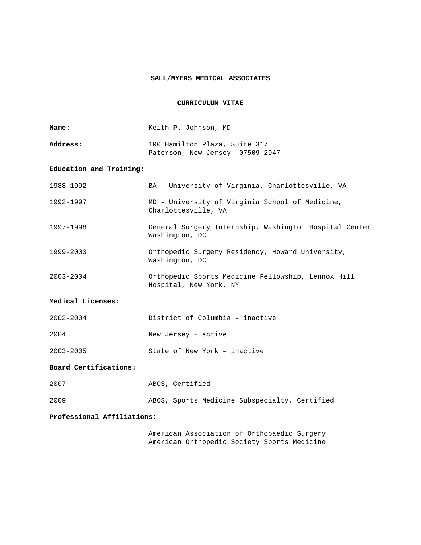## **SALL/MYERS MEDICAL ASSOCIATES**

# **CURRICULUM VITAE**

| Name:                      | Keith P. Johnson, MD                                                         |
|----------------------------|------------------------------------------------------------------------------|
| Address:                   | 100 Hamilton Plaza, Suite 317<br>Paterson, New Jersey 07509-2947             |
| Education and Training:    |                                                                              |
| 1988-1992                  | BA - University of Virginia, Charlottesville, VA                             |
| 1992-1997                  | MD - University of Virginia School of Medicine,<br>Charlottesville, VA       |
| 1997-1998                  | General Surgery Internship, Washington Hospital Center<br>Washington, DC     |
| 1999-2003                  | Orthopedic Surgery Residency, Howard University,<br>Washington, DC           |
| $2003 - 2004$              | Orthopedic Sports Medicine Fellowship, Lennox Hill<br>Hospital, New York, NY |
| Medical Licenses:          |                                                                              |
| 2002-2004                  | District of Columbia - inactive                                              |
| 2004                       | New Jersey - active                                                          |
| 2003-2005                  | State of New York - inactive                                                 |
| Board Certifications:      |                                                                              |
| 2007                       | ABOS, Certified                                                              |
| 2009                       | ABOS, Sports Medicine Subspecialty, Certified                                |
| Professional Affiliations: |                                                                              |
|                            |                                                                              |

 American Association of Orthopaedic Surgery American Orthopedic Society Sports Medicine